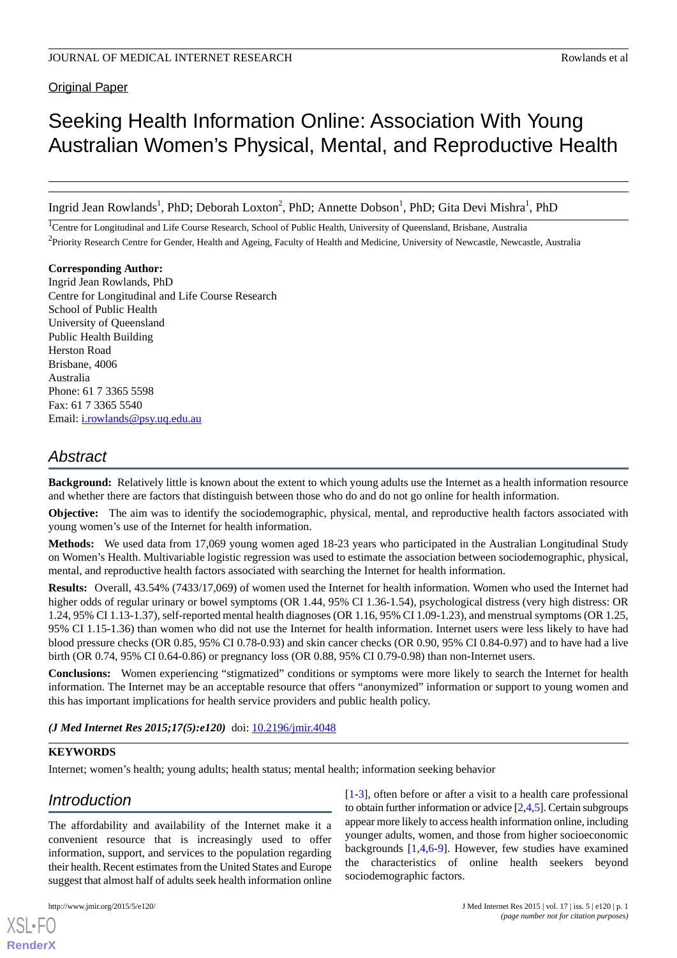Original Paper

# Seeking Health Information Online: Association With Young Australian Women's Physical, Mental, and Reproductive Health

Ingrid Jean Rowlands<sup>1</sup>, PhD; Deborah Loxton<sup>2</sup>, PhD; Annette Dobson<sup>1</sup>, PhD; Gita Devi Mishra<sup>1</sup>, PhD

<sup>1</sup>Centre for Longitudinal and Life Course Research, School of Public Health, University of Queensland, Brisbane, Australia <sup>2</sup> Priority Research Centre for Gender, Health and Ageing, Faculty of Health and Medicine, University of Newcastle, Newcastle, Australia

**Corresponding Author:** Ingrid Jean Rowlands, PhD Centre for Longitudinal and Life Course Research School of Public Health University of Queensland Public Health Building Herston Road Brisbane, 4006 Australia Phone: 61 7 3365 5598 Fax: 61 7 3365 5540 Email: [i.rowlands@psy.uq.edu.au](mailto:i.rowlands@psy.uq.edu.au)

## *Abstract*

**Background:** Relatively little is known about the extent to which young adults use the Internet as a health information resource and whether there are factors that distinguish between those who do and do not go online for health information.

**Objective:** The aim was to identify the sociodemographic, physical, mental, and reproductive health factors associated with young women's use of the Internet for health information.

**Methods:** We used data from 17,069 young women aged 18-23 years who participated in the Australian Longitudinal Study on Women's Health. Multivariable logistic regression was used to estimate the association between sociodemographic, physical, mental, and reproductive health factors associated with searching the Internet for health information.

**Results:** Overall, 43.54% (7433/17,069) of women used the Internet for health information. Women who used the Internet had higher odds of regular urinary or bowel symptoms (OR 1.44, 95% CI 1.36-1.54), psychological distress (very high distress: OR 1.24, 95% CI 1.13-1.37), self-reported mental health diagnoses (OR 1.16, 95% CI 1.09-1.23), and menstrual symptoms (OR 1.25, 95% CI 1.15-1.36) than women who did not use the Internet for health information. Internet users were less likely to have had blood pressure checks (OR 0.85, 95% CI 0.78-0.93) and skin cancer checks (OR 0.90, 95% CI 0.84-0.97) and to have had a live birth (OR 0.74, 95% CI 0.64-0.86) or pregnancy loss (OR 0.88, 95% CI 0.79-0.98) than non-Internet users.

**Conclusions:** Women experiencing "stigmatized" conditions or symptoms were more likely to search the Internet for health information. The Internet may be an acceptable resource that offers "anonymized" information or support to young women and this has important implications for health service providers and public health policy.

*(J Med Internet Res 2015;17(5):e120)* doi:  $10.2196/$ *jmir.4048* 

#### **KEYWORDS**

Internet; women's health; young adults; health status; mental health; information seeking behavior

## *Introduction*

The affordability and availability of the Internet make it a convenient resource that is increasingly used to offer information, support, and services to the population regarding their health. Recent estimates from the United States and Europe suggest that almost half of adults seek health information online

[XSL](http://www.w3.org/Style/XSL)•FO **[RenderX](http://www.renderx.com/)**

[[1](#page-6-0)[-3](#page-6-1)], often before or after a visit to a health care professional to obtain further information or advice [\[2](#page-6-2),[4,](#page-6-3)[5\]](#page-6-4). Certain subgroups appear more likely to access health information online, including younger adults, women, and those from higher socioeconomic backgrounds [[1](#page-6-0)[,4](#page-6-3),[6](#page-6-5)[-9](#page-6-6)]. However, few studies have examined the characteristics of online health seekers beyond sociodemographic factors.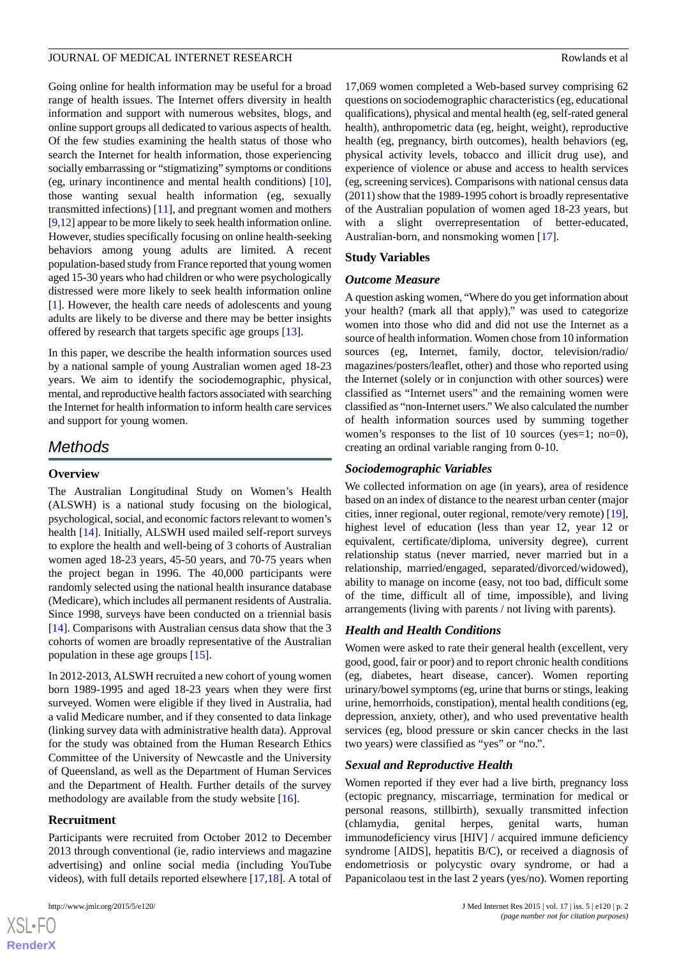Going online for health information may be useful for a broad range of health issues. The Internet offers diversity in health information and support with numerous websites, blogs, and online support groups all dedicated to various aspects of health. Of the few studies examining the health status of those who search the Internet for health information, those experiencing socially embarrassing or "stigmatizing" symptoms or conditions (eg, urinary incontinence and mental health conditions) [[10\]](#page-6-7), those wanting sexual health information (eg, sexually transmitted infections) [\[11](#page-6-8)], and pregnant women and mothers [[9,](#page-6-6)[12\]](#page-6-9) appear to be more likely to seek health information online. However, studies specifically focusing on online health-seeking behaviors among young adults are limited. A recent population-based study from France reported that young women aged 15-30 years who had children or who were psychologically distressed were more likely to seek health information online [[1\]](#page-6-0). However, the health care needs of adolescents and young adults are likely to be diverse and there may be better insights offered by research that targets specific age groups [\[13](#page-6-10)].

In this paper, we describe the health information sources used by a national sample of young Australian women aged 18-23 years. We aim to identify the sociodemographic, physical, mental, and reproductive health factors associated with searching the Internet for health information to inform health care services and support for young women.

## *Methods*

## **Overview**

The Australian Longitudinal Study on Women's Health (ALSWH) is a national study focusing on the biological, psychological, social, and economic factors relevant to women's health [\[14](#page-7-0)]. Initially, ALSWH used mailed self-report surveys to explore the health and well-being of 3 cohorts of Australian women aged 18-23 years, 45-50 years, and 70-75 years when the project began in 1996. The 40,000 participants were randomly selected using the national health insurance database (Medicare), which includes all permanent residents of Australia. Since 1998, surveys have been conducted on a triennial basis [[14\]](#page-7-0). Comparisons with Australian census data show that the 3 cohorts of women are broadly representative of the Australian population in these age groups [[15\]](#page-7-1).

In 2012-2013, ALSWH recruited a new cohort of young women born 1989-1995 and aged 18-23 years when they were first surveyed. Women were eligible if they lived in Australia, had a valid Medicare number, and if they consented to data linkage (linking survey data with administrative health data). Approval for the study was obtained from the Human Research Ethics Committee of the University of Newcastle and the University of Queensland, as well as the Department of Human Services and the Department of Health. Further details of the survey methodology are available from the study website [[16\]](#page-7-2).

## **Recruitment**

 $XSI - F($ **[RenderX](http://www.renderx.com/)**

Participants were recruited from October 2012 to December 2013 through conventional (ie, radio interviews and magazine advertising) and online social media (including YouTube videos), with full details reported elsewhere [[17](#page-7-3)[,18](#page-7-4)]. A total of

17,069 women completed a Web-based survey comprising 62 questions on sociodemographic characteristics (eg, educational qualifications), physical and mental health (eg, self-rated general health), anthropometric data (eg, height, weight), reproductive health (eg, pregnancy, birth outcomes), health behaviors (eg, physical activity levels, tobacco and illicit drug use), and experience of violence or abuse and access to health services (eg, screening services). Comparisons with national census data (2011) show that the 1989-1995 cohort is broadly representative of the Australian population of women aged 18-23 years, but with a slight overrepresentation of better-educated, Australian-born, and nonsmoking women [\[17](#page-7-3)].

## **Study Variables**

## *Outcome Measure*

A question asking women, "Where do you get information about your health? (mark all that apply)," was used to categorize women into those who did and did not use the Internet as a source of health information. Women chose from 10 information sources (eg, Internet, family, doctor, television/radio/ magazines/posters/leaflet, other) and those who reported using the Internet (solely or in conjunction with other sources) were classified as "Internet users" and the remaining women were classified as "non-Internet users." We also calculated the number of health information sources used by summing together women's responses to the list of 10 sources (yes=1; no=0), creating an ordinal variable ranging from 0-10.

## *Sociodemographic Variables*

We collected information on age (in years), area of residence based on an index of distance to the nearest urban center (major cities, inner regional, outer regional, remote/very remote) [[19\]](#page-7-5), highest level of education (less than year 12, year 12 or equivalent, certificate/diploma, university degree), current relationship status (never married, never married but in a relationship, married/engaged, separated/divorced/widowed), ability to manage on income (easy, not too bad, difficult some of the time, difficult all of time, impossible), and living arrangements (living with parents / not living with parents).

## *Health and Health Conditions*

Women were asked to rate their general health (excellent, very good, good, fair or poor) and to report chronic health conditions (eg, diabetes, heart disease, cancer). Women reporting urinary/bowel symptoms (eg, urine that burns or stings, leaking urine, hemorrhoids, constipation), mental health conditions (eg, depression, anxiety, other), and who used preventative health services (eg, blood pressure or skin cancer checks in the last two years) were classified as "yes" or "no.".

## *Sexual and Reproductive Health*

Women reported if they ever had a live birth, pregnancy loss (ectopic pregnancy, miscarriage, termination for medical or personal reasons, stillbirth), sexually transmitted infection (chlamydia, genital herpes, genital warts, human immunodeficiency virus [HIV] / acquired immune deficiency syndrome [AIDS], hepatitis B/C), or received a diagnosis of endometriosis or polycystic ovary syndrome, or had a Papanicolaou test in the last 2 years (yes/no). Women reporting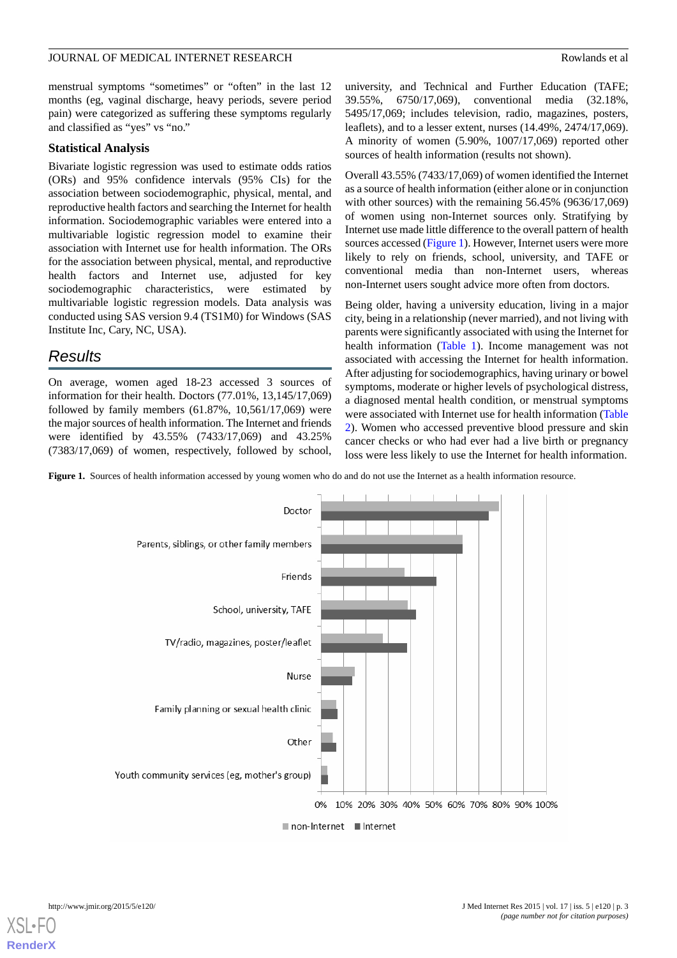menstrual symptoms "sometimes" or "often" in the last 12 months (eg, vaginal discharge, heavy periods, severe period pain) were categorized as suffering these symptoms regularly and classified as "yes" vs "no."

#### **Statistical Analysis**

Bivariate logistic regression was used to estimate odds ratios (ORs) and 95% confidence intervals (95% CIs) for the association between sociodemographic, physical, mental, and reproductive health factors and searching the Internet for health information. Sociodemographic variables were entered into a multivariable logistic regression model to examine their association with Internet use for health information. The ORs for the association between physical, mental, and reproductive health factors and Internet use, adjusted for key sociodemographic characteristics, were estimated by multivariable logistic regression models. Data analysis was conducted using SAS version 9.4 (TS1M0) for Windows (SAS Institute Inc, Cary, NC, USA).

## *Results*

On average, women aged 18-23 accessed 3 sources of information for their health. Doctors (77.01%, 13,145/17,069) followed by family members (61.87%, 10,561/17,069) were the major sources of health information. The Internet and friends were identified by 43.55% (7433/17,069) and 43.25% (7383/17,069) of women, respectively, followed by school,

university, and Technical and Further Education (TAFE; 39.55%, 6750/17,069), conventional media (32.18%, 5495/17,069; includes television, radio, magazines, posters, leaflets), and to a lesser extent, nurses (14.49%, 2474/17,069). A minority of women (5.90%, 1007/17,069) reported other sources of health information (results not shown).

Overall 43.55% (7433/17,069) of women identified the Internet as a source of health information (either alone or in conjunction with other sources) with the remaining 56.45% (9636/17,069) of women using non-Internet sources only. Stratifying by Internet use made little difference to the overall pattern of health sources accessed [\(Figure 1](#page-2-0)). However, Internet users were more likely to rely on friends, school, university, and TAFE or conventional media than non-Internet users, whereas non-Internet users sought advice more often from doctors.

Being older, having a university education, living in a major city, being in a relationship (never married), and not living with parents were significantly associated with using the Internet for health information ([Table 1](#page-3-0)). Income management was not associated with accessing the Internet for health information. After adjusting for sociodemographics, having urinary or bowel symptoms, moderate or higher levels of psychological distress, a diagnosed mental health condition, or menstrual symptoms were associated with Internet use for health information ([Table](#page-4-0) [2\)](#page-4-0). Women who accessed preventive blood pressure and skin cancer checks or who had ever had a live birth or pregnancy loss were less likely to use the Internet for health information.

<span id="page-2-0"></span>Figure 1. Sources of health information accessed by young women who do and do not use the Internet as a health information resource.



[XSL](http://www.w3.org/Style/XSL)•FO **[RenderX](http://www.renderx.com/)**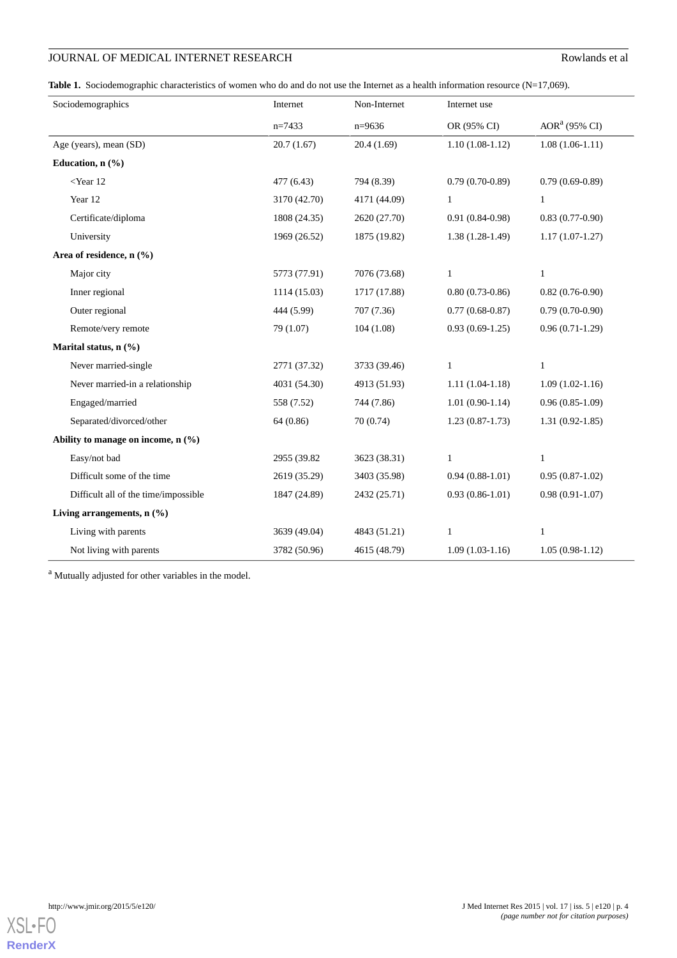## **JOURNAL OF MEDICAL INTERNET RESEARCH** ROWLAND ROWLANDS et al.

<span id="page-3-0"></span>Table 1. Sociodemographic characteristics of women who do and do not use the Internet as a health information resource (N=17,069).

| Sociodemographics                    | Internet     | Non-Internet | Internet use      |                     |
|--------------------------------------|--------------|--------------|-------------------|---------------------|
|                                      | $n=7433$     | $n=9636$     | OR (95% CI)       | $AORa$ (95% CI)     |
| Age (years), mean (SD)               | 20.7(1.67)   | 20.4(1.69)   | $1.10(1.08-1.12)$ | $1.08(1.06-1.11)$   |
| Education, $n$ $(\frac{9}{6})$       |              |              |                   |                     |
| $<$ Year 12                          | 477 (6.43)   | 794 (8.39)   | $0.79(0.70-0.89)$ | $0.79(0.69-0.89)$   |
| Year 12                              | 3170 (42.70) | 4171 (44.09) | $\mathbf{1}$      | $\mathbf{1}$        |
| Certificate/diploma                  | 1808 (24.35) | 2620 (27.70) | $0.91(0.84-0.98)$ | $0.83(0.77-0.90)$   |
| University                           | 1969 (26.52) | 1875 (19.82) | $1.38(1.28-1.49)$ | $1.17(1.07-1.27)$   |
| Area of residence, $n$ (%)           |              |              |                   |                     |
| Major city                           | 5773 (77.91) | 7076 (73.68) | $\mathbf{1}$      | $\mathbf{1}$        |
| Inner regional                       | 1114 (15.03) | 1717 (17.88) | $0.80(0.73-0.86)$ | $0.82(0.76-0.90)$   |
| Outer regional                       | 444 (5.99)   | 707 (7.36)   | $0.77(0.68-0.87)$ | $0.79(0.70-0.90)$   |
| Remote/very remote                   | 79 (1.07)    | 104(1.08)    | $0.93(0.69-1.25)$ | $0.96(0.71-1.29)$   |
| Marital status, n (%)                |              |              |                   |                     |
| Never married-single                 | 2771 (37.32) | 3733 (39.46) | $\mathbf{1}$      | $\mathbf{1}$        |
| Never married-in a relationship      | 4031 (54.30) | 4913 (51.93) | $1.11(1.04-1.18)$ | $1.09(1.02-1.16)$   |
| Engaged/married                      | 558 (7.52)   | 744 (7.86)   | $1.01(0.90-1.14)$ | $0.96(0.85-1.09)$   |
| Separated/divorced/other             | 64 (0.86)    | 70 (0.74)    | $1.23(0.87-1.73)$ | $1.31(0.92 - 1.85)$ |
| Ability to manage on income, n (%)   |              |              |                   |                     |
| Easy/not bad                         | 2955 (39.82) | 3623 (38.31) | $\mathbf{1}$      | $\mathbf{1}$        |
| Difficult some of the time           | 2619 (35.29) | 3403 (35.98) | $0.94(0.88-1.01)$ | $0.95(0.87-1.02)$   |
| Difficult all of the time/impossible | 1847 (24.89) | 2432 (25.71) | $0.93(0.86-1.01)$ | $0.98(0.91-1.07)$   |
| Living arrangements, $n$ (%)         |              |              |                   |                     |
| Living with parents                  | 3639 (49.04) | 4843 (51.21) | $\mathbf{1}$      | $\mathbf{1}$        |
| Not living with parents              | 3782 (50.96) | 4615 (48.79) | $1.09(1.03-1.16)$ | $1.05(0.98-1.12)$   |

<sup>a</sup> Mutually adjusted for other variables in the model.

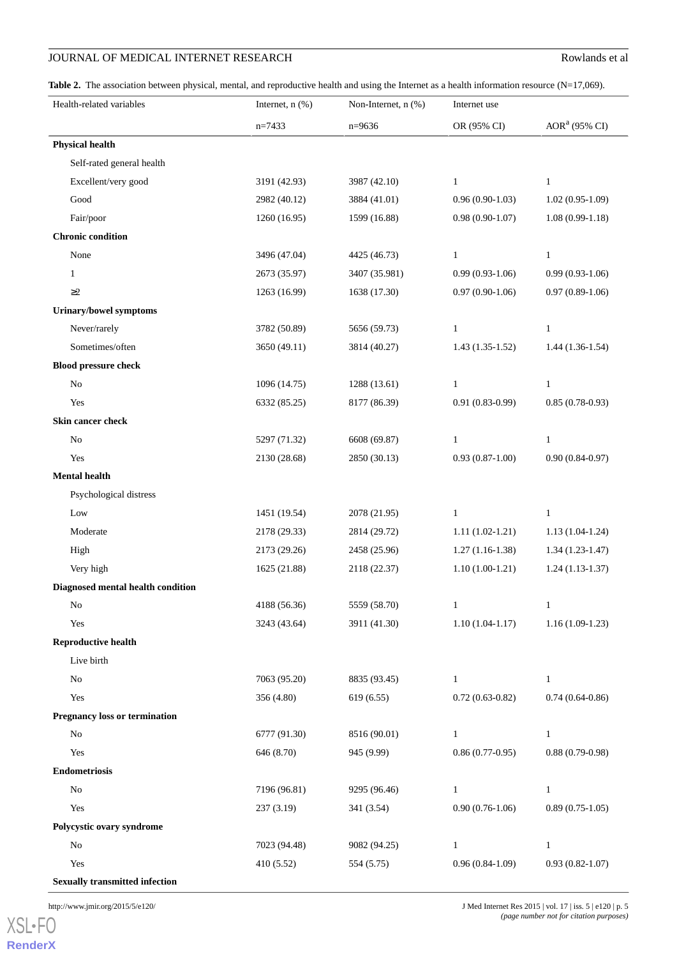## **JOURNAL OF MEDICAL INTERNET RESEARCH** ROWLAND ROWLANDS et al.

<span id="page-4-0"></span>Table 2. The association between physical, mental, and reproductive health and using the Internet as a health information resource (N=17,069).

| Health-related variables              | Internet, $n$ $(\%)$ | Non-Internet, n (%) | Internet use      |                     |
|---------------------------------------|----------------------|---------------------|-------------------|---------------------|
|                                       | $n=7433$             | $n=9636$            | OR (95% CI)       | $AORa$ (95% CI)     |
| <b>Physical health</b>                |                      |                     |                   |                     |
| Self-rated general health             |                      |                     |                   |                     |
| Excellent/very good                   | 3191 (42.93)         | 3987 (42.10)        | $\mathbf{1}$      | $\mathbf{1}$        |
| Good                                  | 2982 (40.12)         | 3884 (41.01)        | $0.96(0.90-1.03)$ | $1.02(0.95-1.09)$   |
| Fair/poor                             | 1260 (16.95)         | 1599 (16.88)        | $0.98(0.90-1.07)$ | $1.08(0.99-1.18)$   |
| <b>Chronic condition</b>              |                      |                     |                   |                     |
| None                                  | 3496 (47.04)         | 4425 (46.73)        | $\mathbf{1}$      | $\mathbf{1}$        |
| $\mathbf{1}$                          | 2673 (35.97)         | 3407 (35.981)       | $0.99(0.93-1.06)$ | $0.99(0.93-1.06)$   |
| $\geq$ 2                              | 1263 (16.99)         | 1638 (17.30)        | $0.97(0.90-1.06)$ | $0.97(0.89-1.06)$   |
| <b>Urinary/bowel symptoms</b>         |                      |                     |                   |                     |
| Never/rarely                          | 3782 (50.89)         | 5656 (59.73)        | $\mathbf{1}$      | $\mathbf{1}$        |
| Sometimes/often                       | 3650 (49.11)         | 3814 (40.27)        | $1.43(1.35-1.52)$ | $1.44(1.36-1.54)$   |
| <b>Blood pressure check</b>           |                      |                     |                   |                     |
| $\rm No$                              | 1096 (14.75)         | 1288 (13.61)        | $\mathbf{1}$      | $\mathbf{1}$        |
| Yes                                   | 6332 (85.25)         | 8177 (86.39)        | $0.91(0.83-0.99)$ | $0.85(0.78-0.93)$   |
| Skin cancer check                     |                      |                     |                   |                     |
| $\rm No$                              | 5297 (71.32)         | 6608 (69.87)        | $\mathbf{1}$      | $\mathbf{1}$        |
| Yes                                   | 2130 (28.68)         | 2850 (30.13)        | $0.93(0.87-1.00)$ | $0.90(0.84-0.97)$   |
| <b>Mental health</b>                  |                      |                     |                   |                     |
| Psychological distress                |                      |                     |                   |                     |
| Low                                   | 1451 (19.54)         | 2078 (21.95)        | $\mathbf{1}$      | $\mathbf{1}$        |
| Moderate                              | 2178 (29.33)         | 2814 (29.72)        | $1.11(1.02-1.21)$ | $1.13(1.04-1.24)$   |
| High                                  | 2173 (29.26)         | 2458 (25.96)        | $1.27(1.16-1.38)$ | $1.34(1.23-1.47)$   |
| Very high                             | 1625 (21.88)         | 2118 (22.37)        | $1.10(1.00-1.21)$ | $1.24(1.13-1.37)$   |
| Diagnosed mental health condition     |                      |                     |                   |                     |
| No                                    | 4188 (56.36)         | 5559 (58.70)        |                   |                     |
| Yes                                   | 3243 (43.64)         | 3911 (41.30)        | $1.10(1.04-1.17)$ | $1.16(1.09-1.23)$   |
| <b>Reproductive health</b>            |                      |                     |                   |                     |
| Live birth                            |                      |                     |                   |                     |
| No                                    | 7063 (95.20)         | 8835 (93.45)        | $\mathbf{1}$      | $\mathbf{1}$        |
| Yes                                   | 356 (4.80)           | 619(6.55)           | $0.72(0.63-0.82)$ | $0.74(0.64-0.86)$   |
| <b>Pregnancy loss or termination</b>  |                      |                     |                   |                     |
| $\rm No$                              | 6777 (91.30)         | 8516 (90.01)        | $\mathbf{1}$      | $\mathbf{1}$        |
| Yes                                   | 646 (8.70)           | 945 (9.99)          | $0.86(0.77-0.95)$ | $0.88(0.79-0.98)$   |
| <b>Endometriosis</b>                  |                      |                     |                   |                     |
| $\rm No$                              | 7196 (96.81)         | 9295 (96.46)        | $\mathbf{1}$      | $\mathbf{1}$        |
| Yes                                   | 237 (3.19)           | 341 (3.54)          | $0.90(0.76-1.06)$ | $0.89(0.75-1.05)$   |
| Polycystic ovary syndrome             |                      |                     |                   |                     |
| $\rm No$                              | 7023 (94.48)         | 9082 (94.25)        | $\mathbf{1}$      | $\mathbf{1}$        |
| Yes                                   | 410 (5.52)           | 554 (5.75)          | $0.96(0.84-1.09)$ | $0.93(0.82 - 1.07)$ |
| <b>Sexually transmitted infection</b> |                      |                     |                   |                     |

[XSL](http://www.w3.org/Style/XSL)•FO **[RenderX](http://www.renderx.com/)**

http://www.jmir.org/2015/5/e120/ J Med Internet Res 2015 | vol. 17 | iss. 5 | e120 | p. 5 *(page number not for citation purposes)*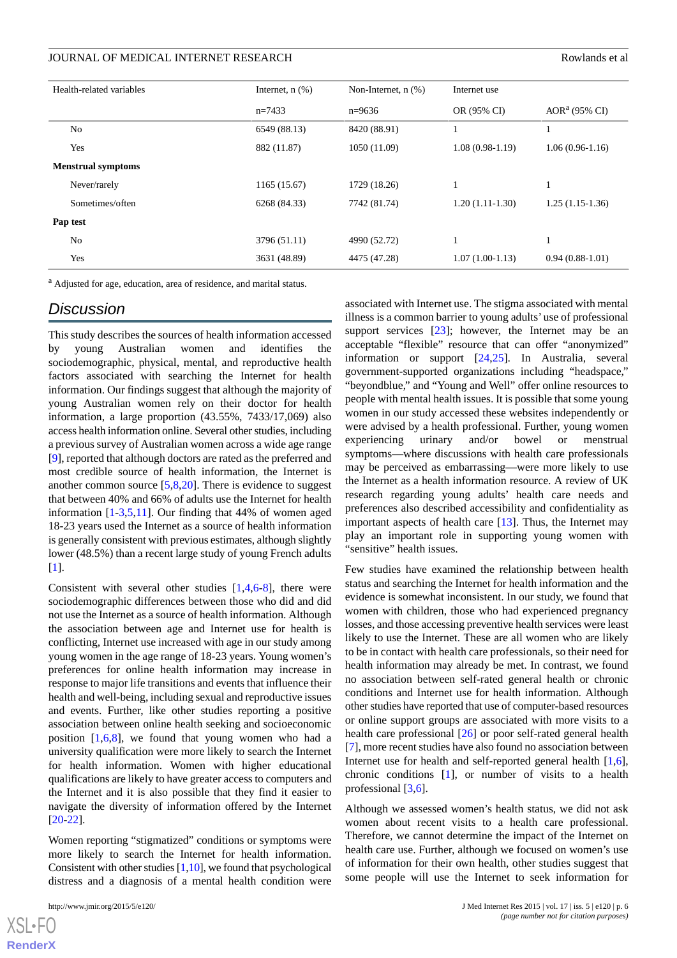| Health-related variables  | Internet, $n$ $(\%)$ | Non-Internet, $n$ $(\%)$ | Internet use      |                   |
|---------------------------|----------------------|--------------------------|-------------------|-------------------|
|                           | $n=7433$             | $n=9636$                 | OR (95% CI)       | $AORa$ (95% CI)   |
| N <sub>0</sub>            | 6549 (88.13)         | 8420 (88.91)             | 1                 |                   |
| Yes                       | 882 (11.87)          | 1050 (11.09)             | $1.08(0.98-1.19)$ | $1.06(0.96-1.16)$ |
| <b>Menstrual symptoms</b> |                      |                          |                   |                   |
| Never/rarely              | 1165 (15.67)         | 1729 (18.26)             | 1                 | 1                 |
| Sometimes/often           | 6268 (84.33)         | 7742 (81.74)             | $1.20(1.11-1.30)$ | $1.25(1.15-1.36)$ |
| Pap test                  |                      |                          |                   |                   |
| No                        | 3796 (51.11)         | 4990 (52.72)             | 1                 | 1                 |
| Yes                       | 3631 (48.89)         | 4475 (47.28)             | $1.07(1.00-1.13)$ | $0.94(0.88-1.01)$ |

<sup>a</sup> Adjusted for age, education, area of residence, and marital status.

## *Discussion*

This study describes the sources of health information accessed by young Australian women and identifies the sociodemographic, physical, mental, and reproductive health factors associated with searching the Internet for health information. Our findings suggest that although the majority of young Australian women rely on their doctor for health information, a large proportion (43.55%, 7433/17,069) also access health information online. Several other studies, including a previous survey of Australian women across a wide age range [[9\]](#page-6-6), reported that although doctors are rated as the preferred and most credible source of health information, the Internet is another common source [[5,](#page-6-4)[8](#page-6-11),[20\]](#page-7-6). There is evidence to suggest that between 40% and 66% of adults use the Internet for health information [\[1](#page-6-0)-[3,](#page-6-1)[5](#page-6-4),[11\]](#page-6-8). Our finding that 44% of women aged 18-23 years used the Internet as a source of health information is generally consistent with previous estimates, although slightly lower (48.5%) than a recent large study of young French adults [[1\]](#page-6-0).

Consistent with several other studies  $[1,4,6-8]$  $[1,4,6-8]$  $[1,4,6-8]$  $[1,4,6-8]$  $[1,4,6-8]$  $[1,4,6-8]$  $[1,4,6-8]$ , there were sociodemographic differences between those who did and did not use the Internet as a source of health information. Although the association between age and Internet use for health is conflicting, Internet use increased with age in our study among young women in the age range of 18-23 years. Young women's preferences for online health information may increase in response to major life transitions and events that influence their health and well-being, including sexual and reproductive issues and events. Further, like other studies reporting a positive association between online health seeking and socioeconomic position  $[1,6,8]$  $[1,6,8]$  $[1,6,8]$  $[1,6,8]$  $[1,6,8]$ , we found that young women who had a university qualification were more likely to search the Internet for health information. Women with higher educational qualifications are likely to have greater access to computers and the Internet and it is also possible that they find it easier to navigate the diversity of information offered by the Internet [[20](#page-7-6)[-22](#page-7-7)].

Women reporting "stigmatized" conditions or symptoms were more likely to search the Internet for health information. Consistent with other studies  $[1,10]$  $[1,10]$  $[1,10]$ , we found that psychological distress and a diagnosis of a mental health condition were

 $XS$  $\cdot$ FC **[RenderX](http://www.renderx.com/)** associated with Internet use. The stigma associated with mental illness is a common barrier to young adults' use of professional support services [\[23](#page-7-8)]; however, the Internet may be an acceptable "flexible" resource that can offer "anonymized" information or support [[24](#page-7-9)[,25](#page-7-10)]. In Australia, several government-supported organizations including "headspace," "beyondblue," and "Young and Well" offer online resources to people with mental health issues. It is possible that some young women in our study accessed these websites independently or were advised by a health professional. Further, young women experiencing urinary and/or bowel or menstrual symptoms—where discussions with health care professionals may be perceived as embarrassing—were more likely to use the Internet as a health information resource. A review of UK research regarding young adults' health care needs and preferences also described accessibility and confidentiality as important aspects of health care [[13\]](#page-6-10). Thus, the Internet may play an important role in supporting young women with 'sensitive'' health issues.

Few studies have examined the relationship between health status and searching the Internet for health information and the evidence is somewhat inconsistent. In our study, we found that women with children, those who had experienced pregnancy losses, and those accessing preventive health services were least likely to use the Internet. These are all women who are likely to be in contact with health care professionals, so their need for health information may already be met. In contrast, we found no association between self-rated general health or chronic conditions and Internet use for health information. Although other studies have reported that use of computer-based resources or online support groups are associated with more visits to a health care professional [\[26](#page-7-11)] or poor self-rated general health [[7\]](#page-6-12), more recent studies have also found no association between Internet use for health and self-reported general health [\[1](#page-6-0),[6\]](#page-6-5), chronic conditions [[1\]](#page-6-0), or number of visits to a health professional [\[3](#page-6-1),[6\]](#page-6-5).

Although we assessed women's health status, we did not ask women about recent visits to a health care professional. Therefore, we cannot determine the impact of the Internet on health care use. Further, although we focused on women's use of information for their own health, other studies suggest that some people will use the Internet to seek information for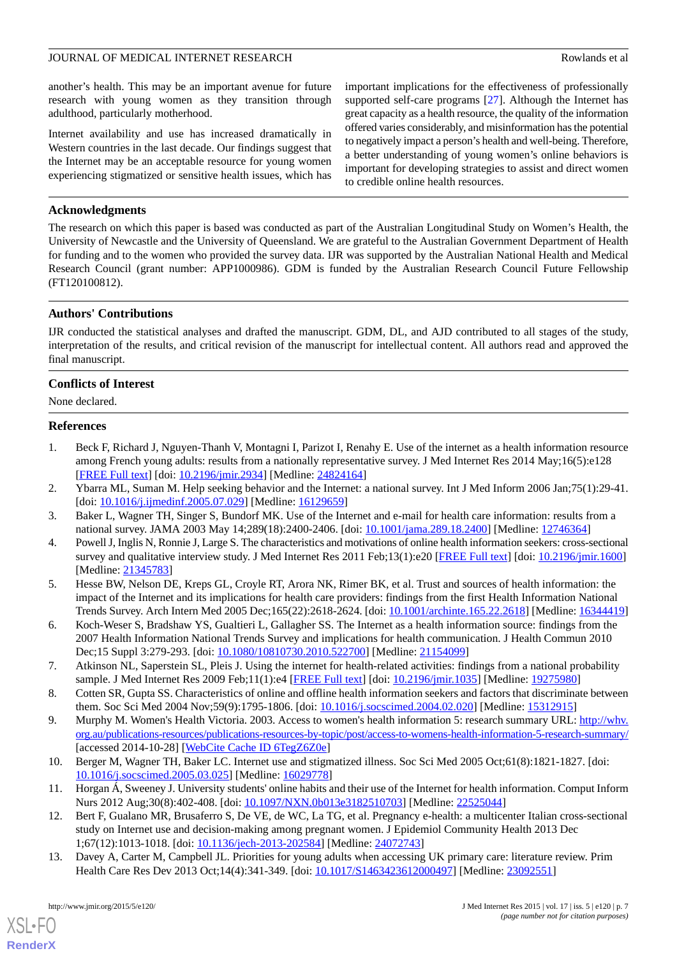another's health. This may be an important avenue for future research with young women as they transition through adulthood, particularly motherhood.

Internet availability and use has increased dramatically in Western countries in the last decade. Our findings suggest that the Internet may be an acceptable resource for young women experiencing stigmatized or sensitive health issues, which has important implications for the effectiveness of professionally supported self-care programs [[27\]](#page-7-12). Although the Internet has great capacity as a health resource, the quality of the information offered varies considerably, and misinformation has the potential to negatively impact a person's health and well-being. Therefore, a better understanding of young women's online behaviors is important for developing strategies to assist and direct women to credible online health resources.

#### **Acknowledgments**

The research on which this paper is based was conducted as part of the Australian Longitudinal Study on Women's Health, the University of Newcastle and the University of Queensland. We are grateful to the Australian Government Department of Health for funding and to the women who provided the survey data. IJR was supported by the Australian National Health and Medical Research Council (grant number: APP1000986). GDM is funded by the Australian Research Council Future Fellowship (FT120100812).

#### **Authors' Contributions**

IJR conducted the statistical analyses and drafted the manuscript. GDM, DL, and AJD contributed to all stages of the study, interpretation of the results, and critical revision of the manuscript for intellectual content. All authors read and approved the final manuscript.

#### **Conflicts of Interest**

<span id="page-6-0"></span>None declared.

#### **References**

- <span id="page-6-2"></span><span id="page-6-1"></span>1. Beck F, Richard J, Nguyen-Thanh V, Montagni I, Parizot I, Renahy E. Use of the internet as a health information resource among French young adults: results from a nationally representative survey. J Med Internet Res 2014 May;16(5):e128 [[FREE Full text](http://www.jmir.org/2014/5/e128/)] [doi: [10.2196/jmir.2934](http://dx.doi.org/10.2196/jmir.2934)] [Medline: [24824164](http://www.ncbi.nlm.nih.gov/entrez/query.fcgi?cmd=Retrieve&db=PubMed&list_uids=24824164&dopt=Abstract)]
- <span id="page-6-3"></span>2. Ybarra ML, Suman M. Help seeking behavior and the Internet: a national survey. Int J Med Inform 2006 Jan;75(1):29-41. [doi: [10.1016/j.ijmedinf.2005.07.029\]](http://dx.doi.org/10.1016/j.ijmedinf.2005.07.029) [Medline: [16129659\]](http://www.ncbi.nlm.nih.gov/entrez/query.fcgi?cmd=Retrieve&db=PubMed&list_uids=16129659&dopt=Abstract)
- <span id="page-6-4"></span>3. Baker L, Wagner TH, Singer S, Bundorf MK. Use of the Internet and e-mail for health care information: results from a national survey. JAMA 2003 May 14;289(18):2400-2406. [doi: [10.1001/jama.289.18.2400\]](http://dx.doi.org/10.1001/jama.289.18.2400) [Medline: [12746364](http://www.ncbi.nlm.nih.gov/entrez/query.fcgi?cmd=Retrieve&db=PubMed&list_uids=12746364&dopt=Abstract)]
- <span id="page-6-5"></span>4. Powell J, Inglis N, Ronnie J, Large S. The characteristics and motivations of online health information seekers: cross-sectional survey and qualitative interview study. J Med Internet Res 2011 Feb;13(1):e20 [[FREE Full text](http://www.jmir.org/2011/1/e20/)] [doi: [10.2196/jmir.1600\]](http://dx.doi.org/10.2196/jmir.1600) [Medline: [21345783](http://www.ncbi.nlm.nih.gov/entrez/query.fcgi?cmd=Retrieve&db=PubMed&list_uids=21345783&dopt=Abstract)]
- <span id="page-6-12"></span>5. Hesse BW, Nelson DE, Kreps GL, Croyle RT, Arora NK, Rimer BK, et al. Trust and sources of health information: the impact of the Internet and its implications for health care providers: findings from the first Health Information National Trends Survey. Arch Intern Med 2005 Dec;165(22):2618-2624. [doi: [10.1001/archinte.165.22.2618](http://dx.doi.org/10.1001/archinte.165.22.2618)] [Medline: [16344419](http://www.ncbi.nlm.nih.gov/entrez/query.fcgi?cmd=Retrieve&db=PubMed&list_uids=16344419&dopt=Abstract)]
- <span id="page-6-11"></span>6. Koch-Weser S, Bradshaw YS, Gualtieri L, Gallagher SS. The Internet as a health information source: findings from the 2007 Health Information National Trends Survey and implications for health communication. J Health Commun 2010 Dec;15 Suppl 3:279-293. [doi: [10.1080/10810730.2010.522700\]](http://dx.doi.org/10.1080/10810730.2010.522700) [Medline: [21154099](http://www.ncbi.nlm.nih.gov/entrez/query.fcgi?cmd=Retrieve&db=PubMed&list_uids=21154099&dopt=Abstract)]
- <span id="page-6-6"></span>7. Atkinson NL, Saperstein SL, Pleis J. Using the internet for health-related activities: findings from a national probability sample. J Med Internet Res 2009 Feb;11(1):e4 [\[FREE Full text\]](http://www.jmir.org/2009/1/e4/) [doi: [10.2196/jmir.1035\]](http://dx.doi.org/10.2196/jmir.1035) [Medline: [19275980\]](http://www.ncbi.nlm.nih.gov/entrez/query.fcgi?cmd=Retrieve&db=PubMed&list_uids=19275980&dopt=Abstract)
- <span id="page-6-7"></span>8. Cotten SR, Gupta SS. Characteristics of online and offline health information seekers and factors that discriminate between them. Soc Sci Med 2004 Nov;59(9):1795-1806. [doi: [10.1016/j.socscimed.2004.02.020](http://dx.doi.org/10.1016/j.socscimed.2004.02.020)] [Medline: [15312915](http://www.ncbi.nlm.nih.gov/entrez/query.fcgi?cmd=Retrieve&db=PubMed&list_uids=15312915&dopt=Abstract)]
- <span id="page-6-9"></span><span id="page-6-8"></span>9. Murphy M. Women's Health Victoria. 2003. Access to women's health information 5: research summary URL: [http://whv.](http://whv.org.au/publications-resources/publications-resources-by-topic/post/access-to-womens-health-information-5-research-summary/) [org.au/publications-resources/publications-resources-by-topic/post/access-to-womens-health-information-5-research-summary/](http://whv.org.au/publications-resources/publications-resources-by-topic/post/access-to-womens-health-information-5-research-summary/) [accessed 2014-10-28] [\[WebCite Cache ID 6TegZ6Z0e](http://www.webcitation.org/

                                    6TegZ6Z0e)]
- <span id="page-6-10"></span>10. Berger M, Wagner TH, Baker LC. Internet use and stigmatized illness. Soc Sci Med 2005 Oct;61(8):1821-1827. [doi: [10.1016/j.socscimed.2005.03.025](http://dx.doi.org/10.1016/j.socscimed.2005.03.025)] [Medline: [16029778](http://www.ncbi.nlm.nih.gov/entrez/query.fcgi?cmd=Retrieve&db=PubMed&list_uids=16029778&dopt=Abstract)]
- 11. Horgan Á, Sweeney J. University students' online habits and their use of the Internet for health information. Comput Inform Nurs 2012 Aug;30(8):402-408. [doi: [10.1097/NXN.0b013e3182510703](http://dx.doi.org/10.1097/NXN.0b013e3182510703)] [Medline: [22525044\]](http://www.ncbi.nlm.nih.gov/entrez/query.fcgi?cmd=Retrieve&db=PubMed&list_uids=22525044&dopt=Abstract)
- 12. Bert F, Gualano MR, Brusaferro S, De VE, de WC, La TG, et al. Pregnancy e-health: a multicenter Italian cross-sectional study on Internet use and decision-making among pregnant women. J Epidemiol Community Health 2013 Dec 1;67(12):1013-1018. [doi: [10.1136/jech-2013-202584](http://dx.doi.org/10.1136/jech-2013-202584)] [Medline: [24072743\]](http://www.ncbi.nlm.nih.gov/entrez/query.fcgi?cmd=Retrieve&db=PubMed&list_uids=24072743&dopt=Abstract)
- 13. Davey A, Carter M, Campbell JL. Priorities for young adults when accessing UK primary care: literature review. Prim Health Care Res Dev 2013 Oct;14(4):341-349. [doi: [10.1017/S1463423612000497](http://dx.doi.org/10.1017/S1463423612000497)] [Medline: [23092551\]](http://www.ncbi.nlm.nih.gov/entrez/query.fcgi?cmd=Retrieve&db=PubMed&list_uids=23092551&dopt=Abstract)

[XSL](http://www.w3.org/Style/XSL)•FO **[RenderX](http://www.renderx.com/)**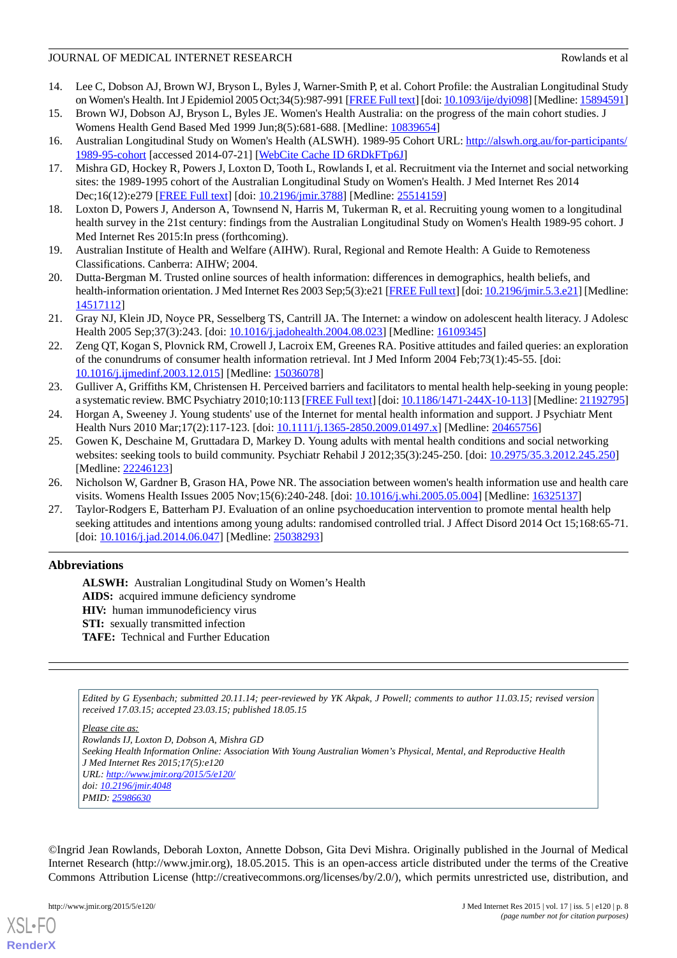- <span id="page-7-0"></span>14. Lee C, Dobson AJ, Brown WJ, Bryson L, Byles J, Warner-Smith P, et al. Cohort Profile: the Australian Longitudinal Study on Women's Health. Int J Epidemiol 2005 Oct;34(5):987-991 [\[FREE Full text](http://ije.oxfordjournals.org/cgi/pmidlookup?view=long&pmid=15894591)] [doi: [10.1093/ije/dyi098\]](http://dx.doi.org/10.1093/ije/dyi098) [Medline: [15894591](http://www.ncbi.nlm.nih.gov/entrez/query.fcgi?cmd=Retrieve&db=PubMed&list_uids=15894591&dopt=Abstract)]
- <span id="page-7-2"></span><span id="page-7-1"></span>15. Brown WJ, Dobson AJ, Bryson L, Byles JE. Women's Health Australia: on the progress of the main cohort studies. J Womens Health Gend Based Med 1999 Jun;8(5):681-688. [Medline: [10839654\]](http://www.ncbi.nlm.nih.gov/entrez/query.fcgi?cmd=Retrieve&db=PubMed&list_uids=10839654&dopt=Abstract)
- <span id="page-7-3"></span>16. Australian Longitudinal Study on Women's Health (ALSWH). 1989-95 Cohort URL: [http://alswh.org.au/for-participants/](http://alswh.org.au/for-participants/1989-95-cohort) [1989-95-cohort](http://alswh.org.au/for-participants/1989-95-cohort) [accessed 2014-07-21] [[WebCite Cache ID 6RDkFTp6J](http://www.webcitation.org/

                                    6RDkFTp6J)]
- <span id="page-7-4"></span>17. Mishra GD, Hockey R, Powers J, Loxton D, Tooth L, Rowlands I, et al. Recruitment via the Internet and social networking sites: the 1989-1995 cohort of the Australian Longitudinal Study on Women's Health. J Med Internet Res 2014 Dec;16(12):e279 [\[FREE Full text](http://www.jmir.org/2014/12/e279/)] [doi: [10.2196/jmir.3788\]](http://dx.doi.org/10.2196/jmir.3788) [Medline: [25514159](http://www.ncbi.nlm.nih.gov/entrez/query.fcgi?cmd=Retrieve&db=PubMed&list_uids=25514159&dopt=Abstract)]
- <span id="page-7-5"></span>18. Loxton D, Powers J, Anderson A, Townsend N, Harris M, Tukerman R, et al. Recruiting young women to a longitudinal health survey in the 21st century: findings from the Australian Longitudinal Study on Women's Health 1989-95 cohort. J Med Internet Res 2015:In press (forthcoming).
- <span id="page-7-6"></span>19. Australian Institute of Health and Welfare (AIHW). Rural, Regional and Remote Health: A Guide to Remoteness Classifications. Canberra: AIHW; 2004.
- 20. Dutta-Bergman M. Trusted online sources of health information: differences in demographics, health beliefs, and health-information orientation. J Med Internet Res 2003 Sep;5(3):e21 [\[FREE Full text\]](http://www.jmir.org/2003/3/e21/) [doi: [10.2196/jmir.5.3.e21\]](http://dx.doi.org/10.2196/jmir.5.3.e21) [Medline: [14517112](http://www.ncbi.nlm.nih.gov/entrez/query.fcgi?cmd=Retrieve&db=PubMed&list_uids=14517112&dopt=Abstract)]
- <span id="page-7-7"></span>21. Gray NJ, Klein JD, Noyce PR, Sesselberg TS, Cantrill JA. The Internet: a window on adolescent health literacy. J Adolesc Health 2005 Sep; 37(3): 243. [doi: 10.1016/j.jadohealth. 2004. 08.023] [Medline: [16109345](http://www.ncbi.nlm.nih.gov/entrez/query.fcgi?cmd=Retrieve&db=PubMed&list_uids=16109345&dopt=Abstract)]
- <span id="page-7-8"></span>22. Zeng QT, Kogan S, Plovnick RM, Crowell J, Lacroix EM, Greenes RA. Positive attitudes and failed queries: an exploration of the conundrums of consumer health information retrieval. Int J Med Inform 2004 Feb;73(1):45-55. [doi: [10.1016/j.ijmedinf.2003.12.015\]](http://dx.doi.org/10.1016/j.ijmedinf.2003.12.015) [Medline: [15036078](http://www.ncbi.nlm.nih.gov/entrez/query.fcgi?cmd=Retrieve&db=PubMed&list_uids=15036078&dopt=Abstract)]
- <span id="page-7-10"></span><span id="page-7-9"></span>23. Gulliver A, Griffiths KM, Christensen H. Perceived barriers and facilitators to mental health help-seeking in young people: a systematic review. BMC Psychiatry 2010;10:113 [[FREE Full text](http://www.biomedcentral.com/1471-244X/10/113)] [doi: [10.1186/1471-244X-10-113](http://dx.doi.org/10.1186/1471-244X-10-113)] [Medline: [21192795\]](http://www.ncbi.nlm.nih.gov/entrez/query.fcgi?cmd=Retrieve&db=PubMed&list_uids=21192795&dopt=Abstract)
- 24. Horgan A, Sweeney J. Young students' use of the Internet for mental health information and support. J Psychiatr Ment Health Nurs 2010 Mar;17(2):117-123. [doi: [10.1111/j.1365-2850.2009.01497.x](http://dx.doi.org/10.1111/j.1365-2850.2009.01497.x)] [Medline: [20465756\]](http://www.ncbi.nlm.nih.gov/entrez/query.fcgi?cmd=Retrieve&db=PubMed&list_uids=20465756&dopt=Abstract)
- <span id="page-7-12"></span><span id="page-7-11"></span>25. Gowen K, Deschaine M, Gruttadara D, Markey D. Young adults with mental health conditions and social networking websites: seeking tools to build community. Psychiatr Rehabil J 2012;35(3):245-250. [doi: [10.2975/35.3.2012.245.250](http://dx.doi.org/10.2975/35.3.2012.245.250)] [Medline: [22246123](http://www.ncbi.nlm.nih.gov/entrez/query.fcgi?cmd=Retrieve&db=PubMed&list_uids=22246123&dopt=Abstract)]
- 26. Nicholson W, Gardner B, Grason HA, Powe NR. The association between women's health information use and health care visits. Womens Health Issues 2005 Nov;15(6):240-248. [doi: [10.1016/j.whi.2005.05.004\]](http://dx.doi.org/10.1016/j.whi.2005.05.004) [Medline: [16325137](http://www.ncbi.nlm.nih.gov/entrez/query.fcgi?cmd=Retrieve&db=PubMed&list_uids=16325137&dopt=Abstract)]
- 27. Taylor-Rodgers E, Batterham PJ. Evaluation of an online psychoeducation intervention to promote mental health help seeking attitudes and intentions among young adults: randomised controlled trial. J Affect Disord 2014 Oct 15;168:65-71. [doi: [10.1016/j.jad.2014.06.047](http://dx.doi.org/10.1016/j.jad.2014.06.047)] [Medline: [25038293\]](http://www.ncbi.nlm.nih.gov/entrez/query.fcgi?cmd=Retrieve&db=PubMed&list_uids=25038293&dopt=Abstract)

## **Abbreviations**

**ALSWH:** Australian Longitudinal Study on Women's Health AIDS: acquired immune deficiency syndrome **HIV:** human immunodeficiency virus **STI:** sexually transmitted infection **TAFE:** Technical and Further Education

*Edited by G Eysenbach; submitted 20.11.14; peer-reviewed by YK Akpak, J Powell; comments to author 11.03.15; revised version received 17.03.15; accepted 23.03.15; published 18.05.15*

*Please cite as:*

*Rowlands IJ, Loxton D, Dobson A, Mishra GD Seeking Health Information Online: Association With Young Australian Women's Physical, Mental, and Reproductive Health J Med Internet Res 2015;17(5):e120 URL: <http://www.jmir.org/2015/5/e120/> doi: [10.2196/jmir.4048](http://dx.doi.org/10.2196/jmir.4048) PMID: [25986630](http://www.ncbi.nlm.nih.gov/entrez/query.fcgi?cmd=Retrieve&db=PubMed&list_uids=25986630&dopt=Abstract)*

©Ingrid Jean Rowlands, Deborah Loxton, Annette Dobson, Gita Devi Mishra. Originally published in the Journal of Medical Internet Research (http://www.jmir.org), 18.05.2015. This is an open-access article distributed under the terms of the Creative Commons Attribution License (http://creativecommons.org/licenses/by/2.0/), which permits unrestricted use, distribution, and

[XSL](http://www.w3.org/Style/XSL)•FO **[RenderX](http://www.renderx.com/)**